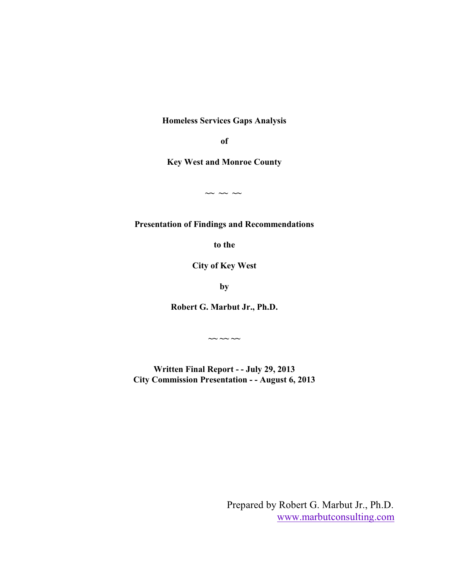**Homeless Services Gaps Analysis**

**of**

**Key West and Monroe County**

**~~ ~~ ~~** 

**Presentation of Findings and Recommendations**

**to the**

**City of Key West**

**by**

**Robert G. Marbut Jr., Ph.D.**

**~~ ~~ ~~**

**Written Final Report - - July 29, 2013 City Commission Presentation - - August 6, 2013**

> Prepared by Robert G. Marbut Jr., Ph.D. [www.marbutconsulting.com](http://www.marbutconsulting.com)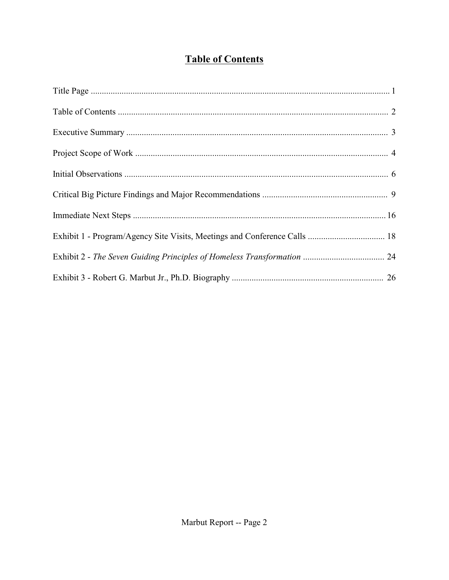# **Table of Contents**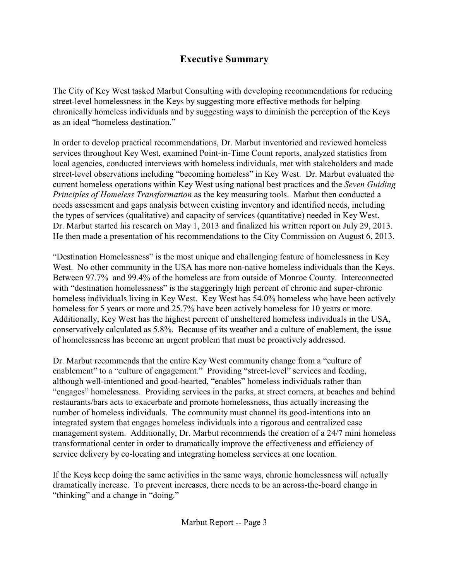# **Executive Summary**

The City of Key West tasked Marbut Consulting with developing recommendations for reducing street-level homelessness in the Keys by suggesting more effective methods for helping chronically homeless individuals and by suggesting ways to diminish the perception of the Keys as an ideal "homeless destination."

In order to develop practical recommendations, Dr. Marbut inventoried and reviewed homeless services throughout Key West, examined Point-in-Time Count reports, analyzed statistics from local agencies, conducted interviews with homeless individuals, met with stakeholders and made street-level observations including "becoming homeless" in Key West. Dr. Marbut evaluated the current homeless operations within Key West using national best practices and the *Seven Guiding Principles of Homeless Transformation* as the key measuring tools. Marbut then conducted a needs assessment and gaps analysis between existing inventory and identified needs, including the types of services (qualitative) and capacity of services (quantitative) needed in Key West. Dr. Marbut started his research on May 1, 2013 and finalized his written report on July 29, 2013. He then made a presentation of his recommendations to the City Commission on August 6, 2013.

"Destination Homelessness" is the most unique and challenging feature of homelessness in Key West. No other community in the USA has more non-native homeless individuals than the Keys. Between 97.7% and 99.4% of the homeless are from outside of Monroe County. Interconnected with "destination homelessness" is the staggeringly high percent of chronic and super-chronic homeless individuals living in Key West. Key West has 54.0% homeless who have been actively homeless for 5 years or more and 25.7% have been actively homeless for 10 years or more. Additionally, Key West has the highest percent of unsheltered homeless individuals in the USA, conservatively calculated as 5.8%. Because of its weather and a culture of enablement, the issue of homelessness has become an urgent problem that must be proactively addressed.

Dr. Marbut recommends that the entire Key West community change from a "culture of enablement" to a "culture of engagement." Providing "street-level" services and feeding, although well-intentioned and good-hearted, "enables" homeless individuals rather than "engages" homelessness. Providing services in the parks, at street corners, at beaches and behind restaurants/bars acts to exacerbate and promote homelessness, thus actually increasing the number of homeless individuals. The community must channel its good-intentions into an integrated system that engages homeless individuals into a rigorous and centralized case management system. Additionally, Dr. Marbut recommends the creation of a 24/7 mini homeless transformational center in order to dramatically improve the effectiveness and efficiency of service delivery by co-locating and integrating homeless services at one location.

If the Keys keep doing the same activities in the same ways, chronic homelessness will actually dramatically increase. To prevent increases, there needs to be an across-the-board change in "thinking" and a change in "doing."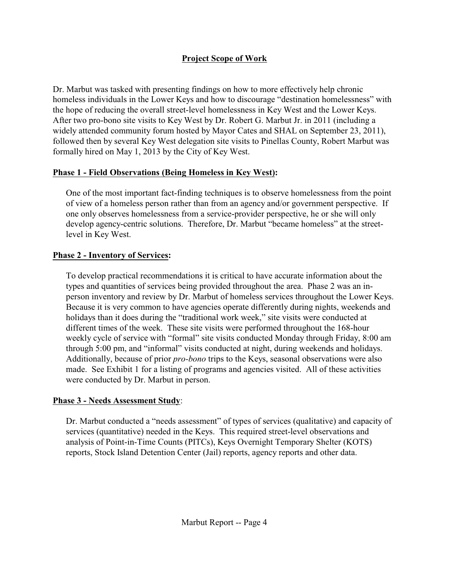# **Project Scope of Work**

Dr. Marbut was tasked with presenting findings on how to more effectively help chronic homeless individuals in the Lower Keys and how to discourage "destination homelessness" with the hope of reducing the overall street-level homelessness in Key West and the Lower Keys. After two pro-bono site visits to Key West by Dr. Robert G. Marbut Jr. in 2011 (including a widely attended community forum hosted by Mayor Cates and SHAL on September 23, 2011), followed then by several Key West delegation site visits to Pinellas County, Robert Marbut was formally hired on May 1, 2013 by the City of Key West.

#### **Phase 1 - Field Observations (Being Homeless in Key West):**

One of the most important fact-finding techniques is to observe homelessness from the point of view of a homeless person rather than from an agency and/or government perspective. If one only observes homelessness from a service-provider perspective, he or she will only develop agency-centric solutions. Therefore, Dr. Marbut "became homeless" at the streetlevel in Key West.

### **Phase 2 - Inventory of Services:**

To develop practical recommendations it is critical to have accurate information about the types and quantities of services being provided throughout the area. Phase 2 was an inperson inventory and review by Dr. Marbut of homeless services throughout the Lower Keys. Because it is very common to have agencies operate differently during nights, weekends and holidays than it does during the "traditional work week," site visits were conducted at different times of the week. These site visits were performed throughout the 168-hour weekly cycle of service with "formal" site visits conducted Monday through Friday, 8:00 am through 5:00 pm, and "informal" visits conducted at night, during weekends and holidays. Additionally, because of prior *pro-bono* trips to the Keys, seasonal observations were also made. See Exhibit 1 for a listing of programs and agencies visited. All of these activities were conducted by Dr. Marbut in person.

### **Phase 3 - Needs Assessment Study**:

Dr. Marbut conducted a "needs assessment" of types of services (qualitative) and capacity of services (quantitative) needed in the Keys. This required street-level observations and analysis of Point-in-Time Counts (PITCs), Keys Overnight Temporary Shelter (KOTS) reports, Stock Island Detention Center (Jail) reports, agency reports and other data.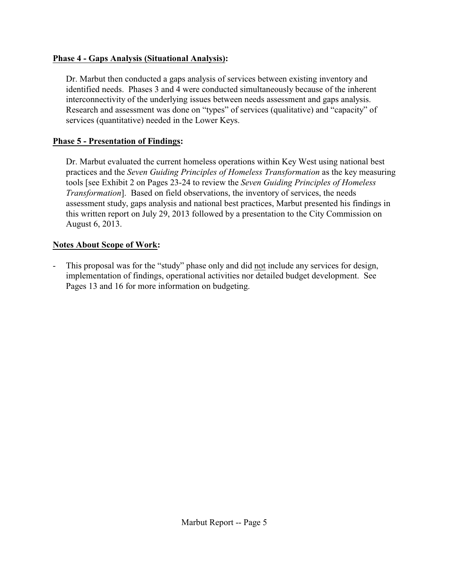### **Phase 4 - Gaps Analysis (Situational Analysis):**

Dr. Marbut then conducted a gaps analysis of services between existing inventory and identified needs. Phases 3 and 4 were conducted simultaneously because of the inherent interconnectivity of the underlying issues between needs assessment and gaps analysis. Research and assessment was done on "types" of services (qualitative) and "capacity" of services (quantitative) needed in the Lower Keys.

#### **Phase 5 - Presentation of Findings:**

Dr. Marbut evaluated the current homeless operations within Key West using national best practices and the *Seven Guiding Principles of Homeless Transformation* as the key measuring tools [see Exhibit 2 on Pages 23-24 to review the *Seven Guiding Principles of Homeless Transformation*]. Based on field observations, the inventory of services, the needs assessment study, gaps analysis and national best practices, Marbut presented his findings in this written report on July 29, 2013 followed by a presentation to the City Commission on August 6, 2013.

#### **Notes About Scope of Work:**

- This proposal was for the "study" phase only and did not include any services for design, implementation of findings, operational activities nor detailed budget development. See Pages 13 and 16 for more information on budgeting.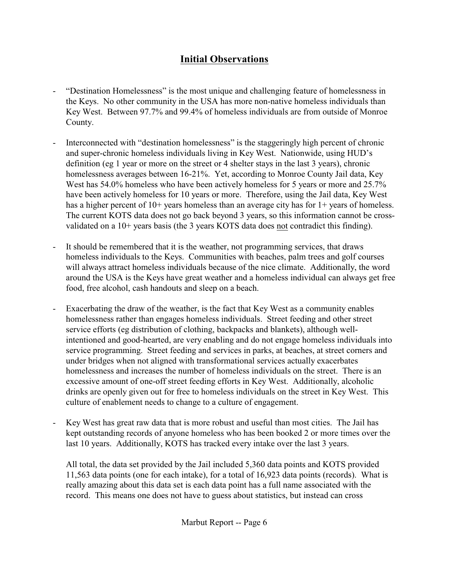# **Initial Observations**

- "Destination Homelessness" is the most unique and challenging feature of homelessness in the Keys. No other community in the USA has more non-native homeless individuals than Key West. Between 97.7% and 99.4% of homeless individuals are from outside of Monroe County.
- Interconnected with "destination homelessness" is the staggeringly high percent of chronic and super-chronic homeless individuals living in Key West. Nationwide, using HUD's definition (eg 1 year or more on the street or 4 shelter stays in the last 3 years), chronic homelessness averages between 16-21%. Yet, according to Monroe County Jail data, Key West has 54.0% homeless who have been actively homeless for 5 years or more and 25.7% have been actively homeless for 10 years or more. Therefore, using the Jail data, Key West has a higher percent of 10+ years homeless than an average city has for 1+ years of homeless. The current KOTS data does not go back beyond 3 years, so this information cannot be crossvalidated on a 10+ years basis (the 3 years KOTS data does not contradict this finding).
- It should be remembered that it is the weather, not programming services, that draws homeless individuals to the Keys. Communities with beaches, palm trees and golf courses will always attract homeless individuals because of the nice climate. Additionally, the word around the USA is the Keys have great weather and a homeless individual can always get free food, free alcohol, cash handouts and sleep on a beach.
- Exacerbating the draw of the weather, is the fact that Key West as a community enables homelessness rather than engages homeless individuals. Street feeding and other street service efforts (eg distribution of clothing, backpacks and blankets), although wellintentioned and good-hearted, are very enabling and do not engage homeless individuals into service programming. Street feeding and services in parks, at beaches, at street corners and under bridges when not aligned with transformational services actually exacerbates homelessness and increases the number of homeless individuals on the street. There is an excessive amount of one-off street feeding efforts in Key West. Additionally, alcoholic drinks are openly given out for free to homeless individuals on the street in Key West. This culture of enablement needs to change to a culture of engagement.
- Key West has great raw data that is more robust and useful than most cities. The Jail has kept outstanding records of anyone homeless who has been booked 2 or more times over the last 10 years. Additionally, KOTS has tracked every intake over the last 3 years.

All total, the data set provided by the Jail included 5,360 data points and KOTS provided 11,563 data points (one for each intake), for a total of 16,923 data points (records). What is really amazing about this data set is each data point has a full name associated with the record. This means one does not have to guess about statistics, but instead can cross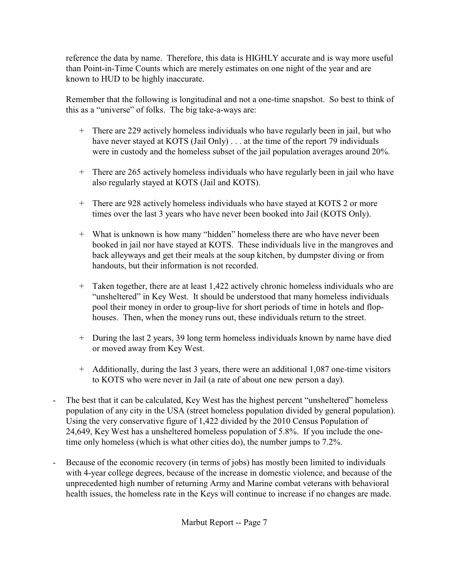reference the data by name. Therefore, this data is HIGHLY accurate and is way more useful than Point-in-Time Counts which are merely estimates on one night of the year and are known to HUD to be highly inaccurate.

Remember that the following is longitudinal and not a one-time snapshot. So best to think of this as a "universe" of folks. The big take-a-ways are:

- + There are 229 actively homeless individuals who have regularly been in jail, but who have never stayed at KOTS (Jail Only) . . . at the time of the report 79 individuals were in custody and the homeless subset of the jail population averages around 20%.
- + There are 265 actively homeless individuals who have regularly been in jail who have also regularly stayed at KOTS (Jail and KOTS).
- + There are 928 actively homeless individuals who have stayed at KOTS 2 or more times over the last 3 years who have never been booked into Jail (KOTS Only).
- + What is unknown is how many "hidden" homeless there are who have never been booked in jail nor have stayed at KOTS. These individuals live in the mangroves and back alleyways and get their meals at the soup kitchen, by dumpster diving or from handouts, but their information is not recorded.
- + Taken together, there are at least 1,422 actively chronic homeless individuals who are "unsheltered" in Key West. It should be understood that many homeless individuals pool their money in order to group-live for short periods of time in hotels and flophouses. Then, when the money runs out, these individuals return to the street.
- + During the last 2 years, 39 long term homeless individuals known by name have died or moved away from Key West.
- + Additionally, during the last 3 years, there were an additional 1,087 one-time visitors to KOTS who were never in Jail (a rate of about one new person a day).
- The best that it can be calculated, Key West has the highest percent "unsheltered" homeless population of any city in the USA (street homeless population divided by general population). Using the very conservative figure of 1,422 divided by the 2010 Census Population of 24,649, Key West has a unsheltered homeless population of 5.8%. If you include the onetime only homeless (which is what other cities do), the number jumps to 7.2%.
- Because of the economic recovery (in terms of jobs) has mostly been limited to individuals with 4-year college degrees, because of the increase in domestic violence, and because of the unprecedented high number of returning Army and Marine combat veterans with behavioral health issues, the homeless rate in the Keys will continue to increase if no changes are made.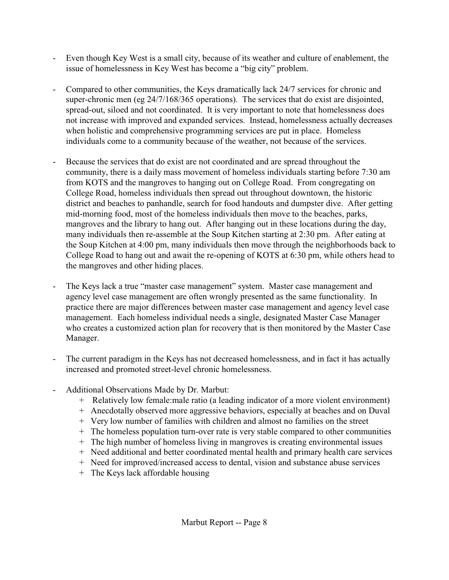- Even though Key West is a small city, because of its weather and culture of enablement, the issue of homelessness in Key West has become a "big city" problem.
- Compared to other communities, the Keys dramatically lack 24/7 services for chronic and super-chronic men (eg 24/7/168/365 operations). The services that do exist are disjointed, spread-out, siloed and not coordinated. It is very important to note that homelessness does not increase with improved and expanded services. Instead, homelessness actually decreases when holistic and comprehensive programming services are put in place. Homeless individuals come to a community because of the weather, not because of the services.
- Because the services that do exist are not coordinated and are spread throughout the community, there is a daily mass movement of homeless individuals starting before 7:30 am from KOTS and the mangroves to hanging out on College Road. From congregating on College Road, homeless individuals then spread out throughout downtown, the historic district and beaches to panhandle, search for food handouts and dumpster dive. After getting mid-morning food, most of the homeless individuals then move to the beaches, parks, mangroves and the library to hang out. After hanging out in these locations during the day, many individuals then re-assemble at the Soup Kitchen starting at 2:30 pm. After eating at the Soup Kitchen at 4:00 pm, many individuals then move through the neighborhoods back to College Road to hang out and await the re-opening of KOTS at 6:30 pm, while others head to the mangroves and other hiding places.
- The Keys lack a true "master case management" system. Master case management and agency level case management are often wrongly presented as the same functionality. In practice there are major differences between master case management and agency level case management. Each homeless individual needs a single, designated Master Case Manager who creates a customized action plan for recovery that is then monitored by the Master Case Manager.
- The current paradigm in the Keys has not decreased homelessness, and in fact it has actually increased and promoted street-level chronic homelessness.
- Additional Observations Made by Dr. Marbut:
	- + Relatively low female:male ratio (a leading indicator of a more violent environment)
	- + Anecdotally observed more aggressive behaviors, especially at beaches and on Duval
	- + Very low number of families with children and almost no families on the street
	- + The homeless population turn-over rate is very stable compared to other communities
	- + The high number of homeless living in mangroves is creating environmental issues
	- + Need additional and better coordinated mental health and primary health care services
	- + Need for improved/increased access to dental, vision and substance abuse services
	- + The Keys lack affordable housing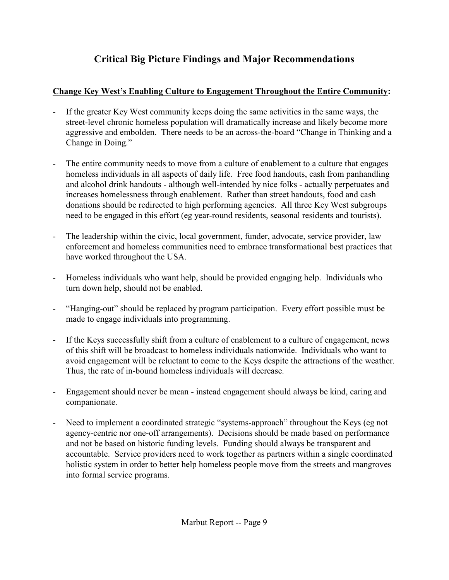# **Critical Big Picture Findings and Major Recommendations**

# **Change Key West's Enabling Culture to Engagement Throughout the Entire Community:**

- If the greater Key West community keeps doing the same activities in the same ways, the street-level chronic homeless population will dramatically increase and likely become more aggressive and embolden. There needs to be an across-the-board "Change in Thinking and a Change in Doing."
- The entire community needs to move from a culture of enablement to a culture that engages homeless individuals in all aspects of daily life. Free food handouts, cash from panhandling and alcohol drink handouts - although well-intended by nice folks - actually perpetuates and increases homelessness through enablement. Rather than street handouts, food and cash donations should be redirected to high performing agencies. All three Key West subgroups need to be engaged in this effort (eg year-round residents, seasonal residents and tourists).
- The leadership within the civic, local government, funder, advocate, service provider, law enforcement and homeless communities need to embrace transformational best practices that have worked throughout the USA.
- Homeless individuals who want help, should be provided engaging help. Individuals who turn down help, should not be enabled.
- "Hanging-out" should be replaced by program participation. Every effort possible must be made to engage individuals into programming.
- If the Keys successfully shift from a culture of enablement to a culture of engagement, news of this shift will be broadcast to homeless individuals nationwide. Individuals who want to avoid engagement will be reluctant to come to the Keys despite the attractions of the weather. Thus, the rate of in-bound homeless individuals will decrease.
- Engagement should never be mean instead engagement should always be kind, caring and companionate.
- Need to implement a coordinated strategic "systems-approach" throughout the Keys (eg not agency-centric nor one-off arrangements). Decisions should be made based on performance and not be based on historic funding levels. Funding should always be transparent and accountable. Service providers need to work together as partners within a single coordinated holistic system in order to better help homeless people move from the streets and mangroves into formal service programs.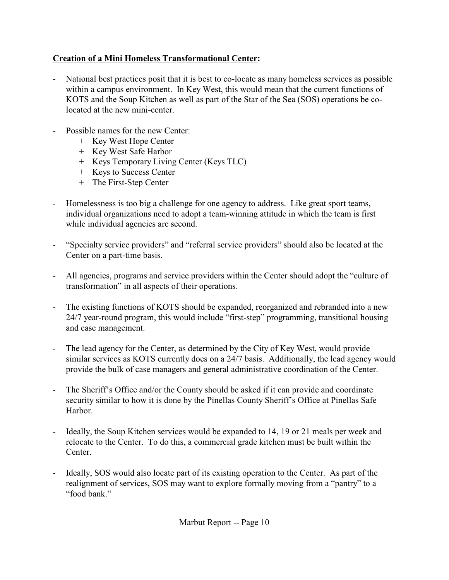# **Creation of a Mini Homeless Transformational Center:**

- National best practices posit that it is best to co-locate as many homeless services as possible within a campus environment. In Key West, this would mean that the current functions of KOTS and the Soup Kitchen as well as part of the Star of the Sea (SOS) operations be colocated at the new mini-center.
- Possible names for the new Center:
	- + Key West Hope Center
	- + Key West Safe Harbor
	- + Keys Temporary Living Center (Keys TLC)
	- + Keys to Success Center
	- + The First-Step Center
- Homelessness is too big a challenge for one agency to address. Like great sport teams, individual organizations need to adopt a team-winning attitude in which the team is first while individual agencies are second.
- "Specialty service providers" and "referral service providers" should also be located at the Center on a part-time basis.
- All agencies, programs and service providers within the Center should adopt the "culture of transformation" in all aspects of their operations.
- The existing functions of KOTS should be expanded, reorganized and rebranded into a new 24/7 year-round program, this would include "first-step" programming, transitional housing and case management.
- The lead agency for the Center, as determined by the City of Key West, would provide similar services as KOTS currently does on a 24/7 basis. Additionally, the lead agency would provide the bulk of case managers and general administrative coordination of the Center.
- The Sheriff's Office and/or the County should be asked if it can provide and coordinate security similar to how it is done by the Pinellas County Sheriff's Office at Pinellas Safe Harbor.
- Ideally, the Soup Kitchen services would be expanded to 14, 19 or 21 meals per week and relocate to the Center. To do this, a commercial grade kitchen must be built within the Center.
- Ideally, SOS would also locate part of its existing operation to the Center. As part of the realignment of services, SOS may want to explore formally moving from a "pantry" to a "food bank."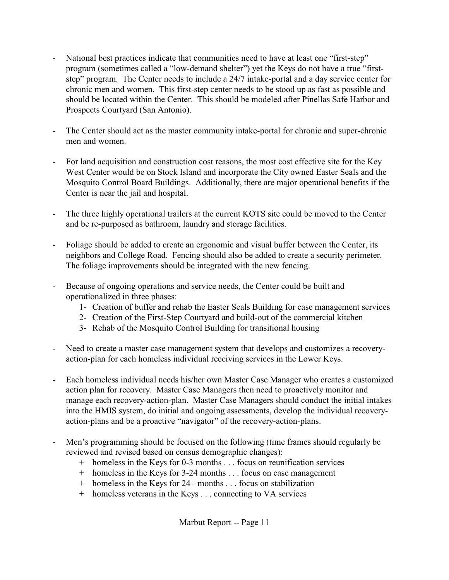- National best practices indicate that communities need to have at least one "first-step" program (sometimes called a "low-demand shelter") yet the Keys do not have a true "firststep" program. The Center needs to include a 24/7 intake-portal and a day service center for chronic men and women. This first-step center needs to be stood up as fast as possible and should be located within the Center. This should be modeled after Pinellas Safe Harbor and Prospects Courtyard (San Antonio).
- The Center should act as the master community intake-portal for chronic and super-chronic men and women.
- For land acquisition and construction cost reasons, the most cost effective site for the Key West Center would be on Stock Island and incorporate the City owned Easter Seals and the Mosquito Control Board Buildings. Additionally, there are major operational benefits if the Center is near the jail and hospital.
- The three highly operational trailers at the current KOTS site could be moved to the Center and be re-purposed as bathroom, laundry and storage facilities.
- Foliage should be added to create an ergonomic and visual buffer between the Center, its neighbors and College Road. Fencing should also be added to create a security perimeter. The foliage improvements should be integrated with the new fencing.
- Because of ongoing operations and service needs, the Center could be built and operationalized in three phases:
	- 1- Creation of buffer and rehab the Easter Seals Building for case management services
	- 2- Creation of the First-Step Courtyard and build-out of the commercial kitchen
	- 3- Rehab of the Mosquito Control Building for transitional housing
- Need to create a master case management system that develops and customizes a recoveryaction-plan for each homeless individual receiving services in the Lower Keys.
- Each homeless individual needs his/her own Master Case Manager who creates a customized action plan for recovery. Master Case Managers then need to proactively monitor and manage each recovery-action-plan. Master Case Managers should conduct the initial intakes into the HMIS system, do initial and ongoing assessments, develop the individual recoveryaction-plans and be a proactive "navigator" of the recovery-action-plans.
- Men's programming should be focused on the following (time frames should regularly be reviewed and revised based on census demographic changes):
	- + homeless in the Keys for 0-3 months . . . focus on reunification services
	- + homeless in the Keys for 3-24 months . . . focus on case management
	- + homeless in the Keys for 24+ months . . . focus on stabilization
	- + homeless veterans in the Keys . . . connecting to VA services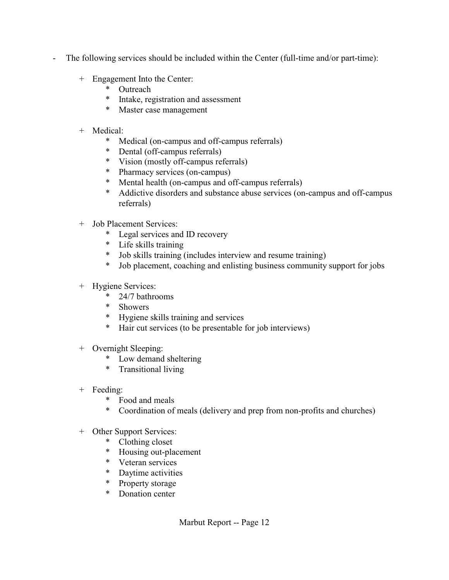- The following services should be included within the Center (full-time and/or part-time):
	- + Engagement Into the Center:<br>\* Outreach
		- **Outreach**
		- \* Intake, registration and assessment
		- \* Master case management
	- + Medical:
		- \* Medical (on-campus and off-campus referrals)
		- \* Dental (off-campus referrals)
		- \* Vision (mostly off-campus referrals)
		- \* Pharmacy services (on-campus)
		- \* Mental health (on-campus and off-campus referrals)
		- \* Addictive disorders and substance abuse services (on-campus and off-campus referrals)
	- + Job Placement Services:
		- \* Legal services and ID recovery
		- \* Life skills training
		- \* Job skills training (includes interview and resume training)
		- \* Job placement, coaching and enlisting business community support for jobs

### + Hygiene Services:

- $*$  24/7 bathrooms<br> $*$  Showers
- **Showers**
- \* Hygiene skills training and services
- \* Hair cut services (to be presentable for job interviews)
- + Overnight Sleeping:
	- \* Low demand sheltering
	- \* Transitional living
- + Feeding:
	- \* Food and meals
	- \* Coordination of meals (delivery and prep from non-profits and churches)
- + Other Support Services:
	- \* Clothing closet
	- Housing out-placement
	- \* Veteran services
	- \* Daytime activities
	- \* Property storage
	- \* Donation center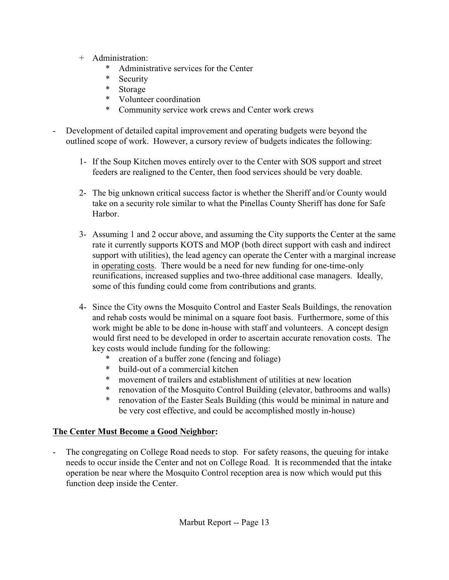- + Administration:
	- \* Administrative services for the Center<br>\* Security
	- **Security**
	- \* Storage
	- \* Volunteer coordination
	- \* Community service work crews and Center work crews
- Development of detailed capital improvement and operating budgets were beyond the outlined scope of work. However, a cursory review of budgets indicates the following:
	- 1- If the Soup Kitchen moves entirely over to the Center with SOS support and street feeders are realigned to the Center, then food services should be very doable.
	- 2- The big unknown critical success factor is whether the Sheriff and/or County would take on a security role similar to what the Pinellas County Sheriff has done for Safe Harbor.
	- 3- Assuming 1 and 2 occur above, and assuming the City supports the Center at the same rate it currently supports KOTS and MOP (both direct support with cash and indirect support with utilities), the lead agency can operate the Center with a marginal increase in operating costs. There would be a need for new funding for one-time-only reunifications, increased supplies and two-three additional case managers. Ideally, some of this funding could come from contributions and grants.
	- 4- Since the City owns the Mosquito Control and Easter Seals Buildings, the renovation and rehab costs would be minimal on a square foot basis. Furthermore, some of this work might be able to be done in-house with staff and volunteers. A concept design would first need to be developed in order to ascertain accurate renovation costs. The key costs would include funding for the following:
		- creation of a buffer zone (fencing and foliage)
		- \* build-out of a commercial kitchen
		- movement of trailers and establishment of utilities at new location
		- \* renovation of the Mosquito Control Building (elevator, bathrooms and walls)<br>\* renovation of the Easter Seals Building (this would be minimal in nature and
		- renovation of the Easter Seals Building (this would be minimal in nature and be very cost effective, and could be accomplished mostly in-house)

# **The Center Must Become a Good Neighbor:**

The congregating on College Road needs to stop. For safety reasons, the queuing for intake needs to occur inside the Center and not on College Road. It is recommended that the intake operation be near where the Mosquito Control reception area is now which would put this function deep inside the Center.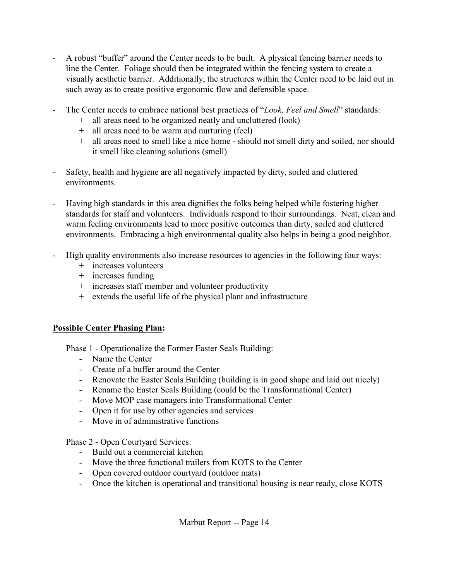- A robust "buffer" around the Center needs to be built. A physical fencing barrier needs to line the Center. Foliage should then be integrated within the fencing system to create a visually aesthetic barrier. Additionally, the structures within the Center need to be laid out in such away as to create positive ergonomic flow and defensible space.
- The Center needs to embrace national best practices of "*Look, Feel and Smell*" standards:
	- + all areas need to be organized neatly and uncluttered (look)
	- + all areas need to be warm and nurturing (feel)
	- + all areas need to smell like a nice home should not smell dirty and soiled, nor should it smell like cleaning solutions (smell)
- Safety, health and hygiene are all negatively impacted by dirty, soiled and cluttered environments.
- Having high standards in this area dignifies the folks being helped while fostering higher standards for staff and volunteers. Individuals respond to their surroundings. Neat, clean and warm feeling environments lead to more positive outcomes than dirty, soiled and cluttered environments. Embracing a high environmental quality also helps in being a good neighbor.
- High quality environments also increase resources to agencies in the following four ways:
	- + increases volunteers
	- + increases funding
	- + increases staff member and volunteer productivity
	- + extends the useful life of the physical plant and infrastructure

# **Possible Center Phasing Plan:**

Phase 1 - Operationalize the Former Easter Seals Building:

- Name the Center
- Create of a buffer around the Center
- Renovate the Easter Seals Building (building is in good shape and laid out nicely)
- Rename the Easter Seals Building (could be the Transformational Center)
- Move MOP case managers into Transformational Center
- Open it for use by other agencies and services
- Move in of administrative functions

### Phase 2 - Open Courtyard Services:

- Build out a commercial kitchen
- Move the three functional trailers from KOTS to the Center
- Open covered outdoor courtyard (outdoor mats)
- Once the kitchen is operational and transitional housing is near ready, close KOTS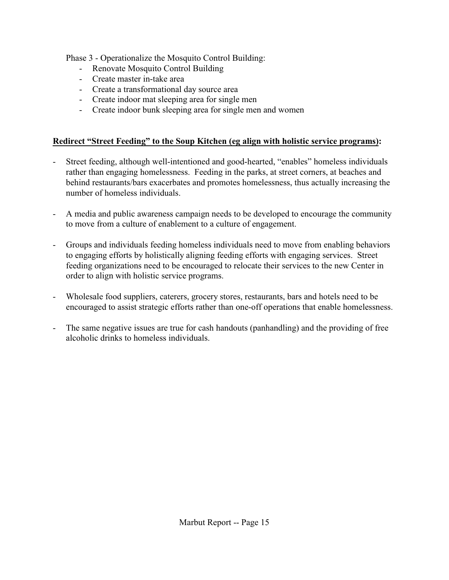Phase 3 - Operationalize the Mosquito Control Building:

- Renovate Mosquito Control Building
- Create master in-take area
- Create a transformational day source area
- Create indoor mat sleeping area for single men
- Create indoor bunk sleeping area for single men and women

### **Redirect "Street Feeding" to the Soup Kitchen (eg align with holistic service programs):**

- Street feeding, although well-intentioned and good-hearted, "enables" homeless individuals rather than engaging homelessness. Feeding in the parks, at street corners, at beaches and behind restaurants/bars exacerbates and promotes homelessness, thus actually increasing the number of homeless individuals.
- A media and public awareness campaign needs to be developed to encourage the community to move from a culture of enablement to a culture of engagement.
- Groups and individuals feeding homeless individuals need to move from enabling behaviors to engaging efforts by holistically aligning feeding efforts with engaging services. Street feeding organizations need to be encouraged to relocate their services to the new Center in order to align with holistic service programs.
- Wholesale food suppliers, caterers, grocery stores, restaurants, bars and hotels need to be encouraged to assist strategic efforts rather than one-off operations that enable homelessness.
- The same negative issues are true for cash handouts (panhandling) and the providing of free alcoholic drinks to homeless individuals.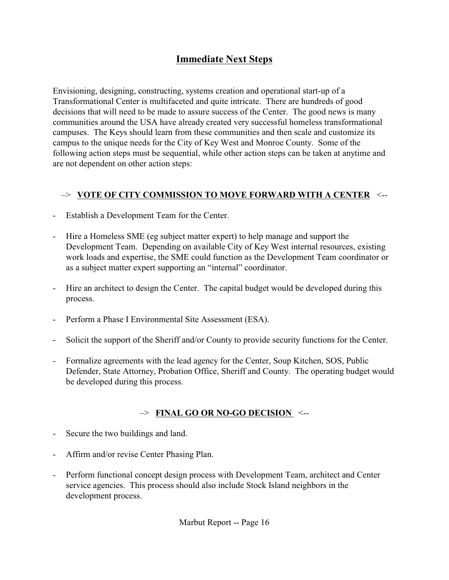# **Immediate Next Steps**

Envisioning, designing, constructing, systems creation and operational start-up of a Transformational Center is multifaceted and quite intricate. There are hundreds of good decisions that will need to be made to assure success of the Center. The good news is many communities around the USA have already created very successful homeless transformational campuses. The Keys should learn from these communities and then scale and customize its campus to the unique needs for the City of Key West and Monroe County. Some of the following action steps must be sequential, while other action steps can be taken at anytime and are not dependent on other action steps:

### –> **VOTE OF CITY COMMISSION TO MOVE FORWARD WITH A CENTER** <--

- Establish a Development Team for the Center.
- Hire a Homeless SME (eg subject matter expert) to help manage and support the Development Team. Depending on available City of Key West internal resources, existing work loads and expertise, the SME could function as the Development Team coordinator or as a subject matter expert supporting an "internal" coordinator.
- Hire an architect to design the Center. The capital budget would be developed during this process.
- Perform a Phase I Environmental Site Assessment (ESA).
- Solicit the support of the Sheriff and/or County to provide security functions for the Center.
- Formalize agreements with the lead agency for the Center, Soup Kitchen, SOS, Public Defender, State Attorney, Probation Office, Sheriff and County. The operating budget would be developed during this process.

### –> **FINAL GO OR NO-GO DECISION** <--

- Secure the two buildings and land.
- Affirm and/or revise Center Phasing Plan.
- Perform functional concept design process with Development Team, architect and Center service agencies. This process should also include Stock Island neighbors in the development process.

Marbut Report -- Page 16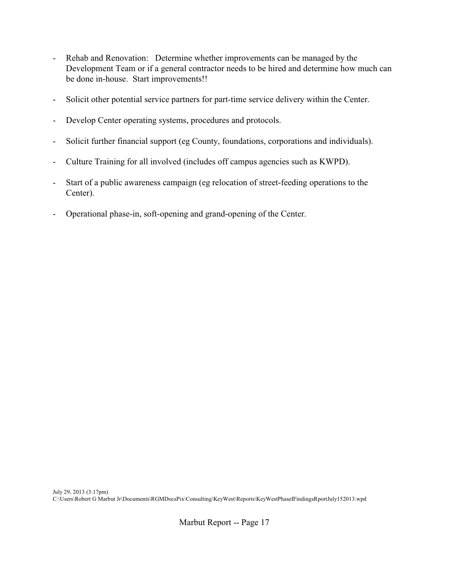- Rehab and Renovation: Determine whether improvements can be managed by the Development Team or if a general contractor needs to be hired and determine how much can be done in-house. Start improvements!!
- Solicit other potential service partners for part-time service delivery within the Center.
- Develop Center operating systems, procedures and protocols.
- Solicit further financial support (eg County, foundations, corporations and individuals).
- Culture Training for all involved (includes off campus agencies such as KWPD).
- Start of a public awareness campaign (eg relocation of street-feeding operations to the Center).
- Operational phase-in, soft-opening and grand-opening of the Center.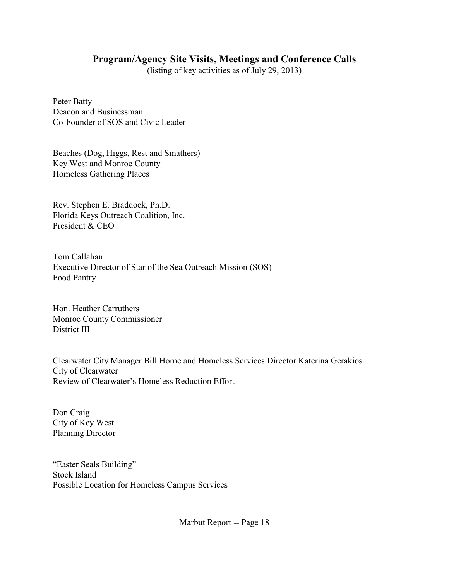# **Program/Agency Site Visits, Meetings and Conference Calls**

(listing of key activities as of July 29, 2013)

Peter Batty Deacon and Businessman Co-Founder of SOS and Civic Leader

Beaches (Dog, Higgs, Rest and Smathers) Key West and Monroe County Homeless Gathering Places

Rev. Stephen E. Braddock, Ph.D. Florida Keys Outreach Coalition, Inc. President & CEO

Tom Callahan Executive Director of Star of the Sea Outreach Mission (SOS) Food Pantry

Hon. Heather Carruthers Monroe County Commissioner District III

Clearwater City Manager Bill Horne and Homeless Services Director Katerina Gerakios City of Clearwater Review of Clearwater's Homeless Reduction Effort

Don Craig City of Key West Planning Director

"Easter Seals Building" Stock Island Possible Location for Homeless Campus Services

Marbut Report -- Page 18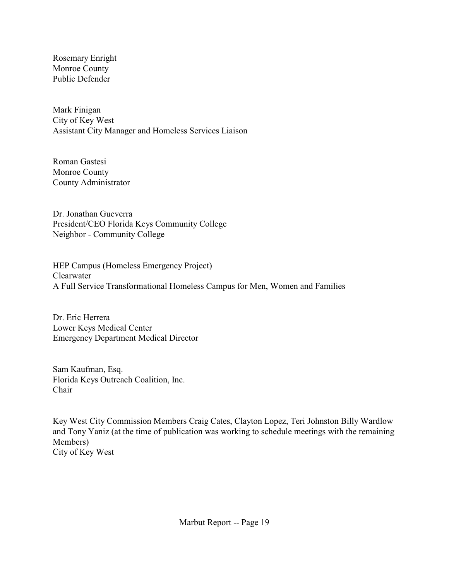Rosemary Enright Monroe County Public Defender

Mark Finigan City of Key West Assistant City Manager and Homeless Services Liaison

Roman Gastesi Monroe County County Administrator

Dr. Jonathan Gueverra President/CEO Florida Keys Community College Neighbor - Community College

HEP Campus (Homeless Emergency Project) Clearwater A Full Service Transformational Homeless Campus for Men, Women and Families

Dr. Eric Herrera Lower Keys Medical Center Emergency Department Medical Director

Sam Kaufman, Esq. Florida Keys Outreach Coalition, Inc. Chair

Key West City Commission Members Craig Cates, Clayton Lopez, Teri Johnston Billy Wardlow and Tony Yaniz (at the time of publication was working to schedule meetings with the remaining Members) City of Key West

Marbut Report -- Page 19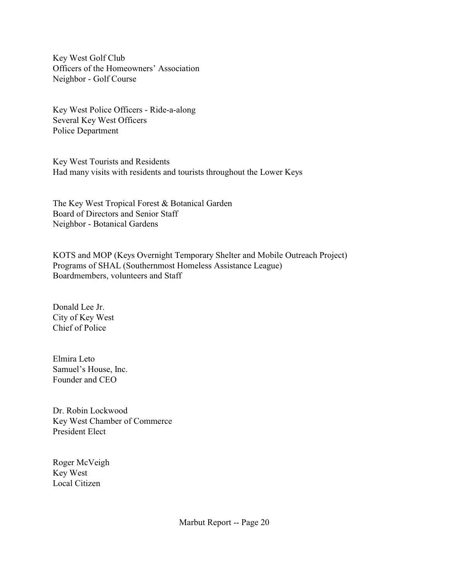Key West Golf Club Officers of the Homeowners' Association Neighbor - Golf Course

Key West Police Officers - Ride-a-along Several Key West Officers Police Department

Key West Tourists and Residents Had many visits with residents and tourists throughout the Lower Keys

The Key West Tropical Forest & Botanical Garden Board of Directors and Senior Staff Neighbor - Botanical Gardens

KOTS and MOP (Keys Overnight Temporary Shelter and Mobile Outreach Project) Programs of SHAL (Southernmost Homeless Assistance League) Boardmembers, volunteers and Staff

Donald Lee Jr. City of Key West Chief of Police

Elmira Leto Samuel's House, Inc. Founder and CEO

Dr. Robin Lockwood Key West Chamber of Commerce President Elect

Roger McVeigh Key West Local Citizen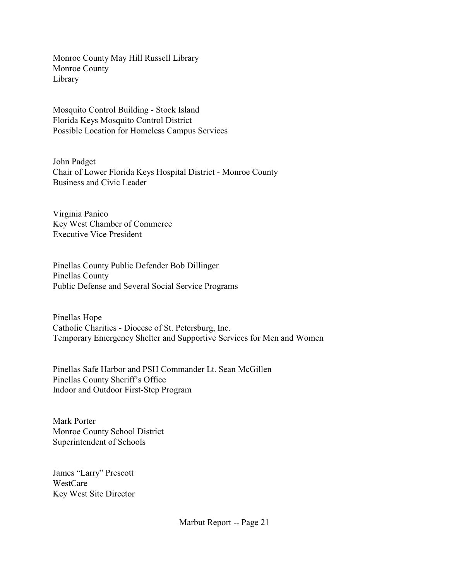Monroe County May Hill Russell Library Monroe County Library

Mosquito Control Building - Stock Island Florida Keys Mosquito Control District Possible Location for Homeless Campus Services

John Padget Chair of Lower Florida Keys Hospital District - Monroe County Business and Civic Leader

Virginia Panico Key West Chamber of Commerce Executive Vice President

Pinellas County Public Defender Bob Dillinger Pinellas County Public Defense and Several Social Service Programs

Pinellas Hope Catholic Charities - Diocese of St. Petersburg, Inc. Temporary Emergency Shelter and Supportive Services for Men and Women

Pinellas Safe Harbor and PSH Commander Lt. Sean McGillen Pinellas County Sheriff's Office Indoor and Outdoor First-Step Program

Mark Porter Monroe County School District Superintendent of Schools

James "Larry" Prescott WestCare Key West Site Director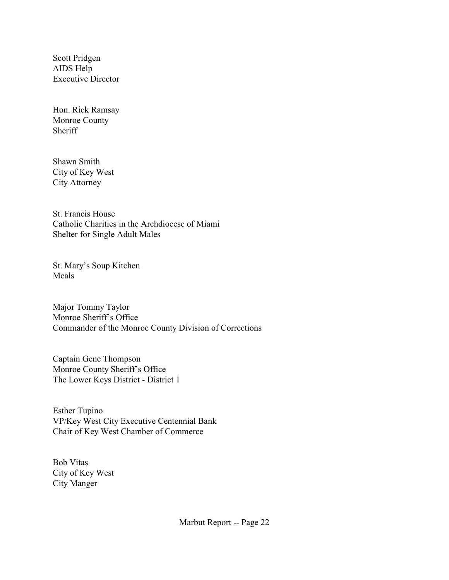Scott Pridgen AIDS Help Executive Director

Hon. Rick Ramsay Monroe County **Sheriff** 

Shawn Smith City of Key West City Attorney

St. Francis House Catholic Charities in the Archdiocese of Miami Shelter for Single Adult Males

St. Mary's Soup Kitchen Meals

Major Tommy Taylor Monroe Sheriff's Office Commander of the Monroe County Division of Corrections

Captain Gene Thompson Monroe County Sheriff's Office The Lower Keys District - District 1

Esther Tupino VP/Key West City Executive Centennial Bank Chair of Key West Chamber of Commerce

Bob Vitas City of Key West City Manger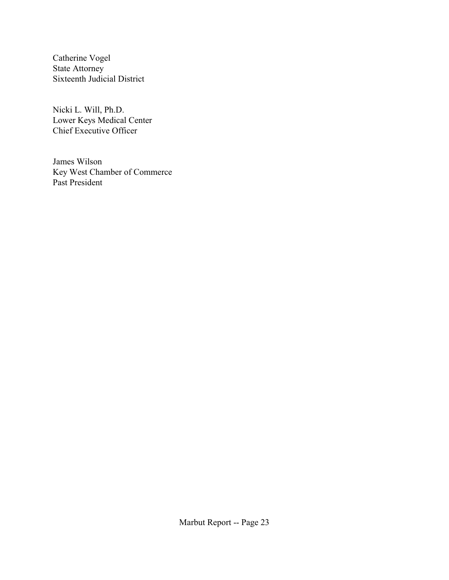Catherine Vogel State Attorney Sixteenth Judicial District

Nicki L. Will, Ph.D. Lower Keys Medical Center Chief Executive Officer

James Wilson Key West Chamber of Commerce Past President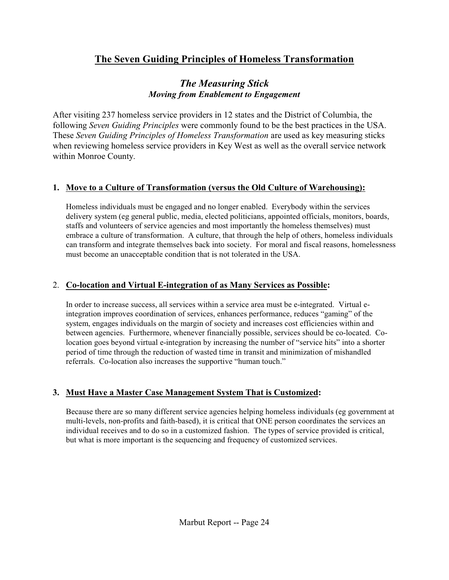# **The Seven Guiding Principles of Homeless Transformation**

# *The Measuring Stick Moving from Enablement to Engagement*

After visiting 237 homeless service providers in 12 states and the District of Columbia, the following *Seven Guiding Principles* were commonly found to be the best practices in the USA. These *Seven Guiding Principles of Homeless Transformation* are used as key measuring sticks when reviewing homeless service providers in Key West as well as the overall service network within Monroe County.

## **1. Move to a Culture of Transformation (versus the Old Culture of Warehousing):**

Homeless individuals must be engaged and no longer enabled. Everybody within the services delivery system (eg general public, media, elected politicians, appointed officials, monitors, boards, staffs and volunteers of service agencies and most importantly the homeless themselves) must embrace a culture of transformation. A culture, that through the help of others, homeless individuals can transform and integrate themselves back into society. For moral and fiscal reasons, homelessness must become an unacceptable condition that is not tolerated in the USA.

### 2. **Co-location and Virtual E-integration of as Many Services as Possible:**

In order to increase success, all services within a service area must be e-integrated. Virtual eintegration improves coordination of services, enhances performance, reduces "gaming" of the system, engages individuals on the margin of society and increases cost efficiencies within and between agencies. Furthermore, whenever financially possible, services should be co-located. Colocation goes beyond virtual e-integration by increasing the number of "service hits" into a shorter period of time through the reduction of wasted time in transit and minimization of mishandled referrals. Co-location also increases the supportive "human touch."

# **3. Must Have a Master Case Management System That is Customized:**

Because there are so many different service agencies helping homeless individuals (eg government at multi-levels, non-profits and faith-based), it is critical that ONE person coordinates the services an individual receives and to do so in a customized fashion. The types of service provided is critical, but what is more important is the sequencing and frequency of customized services.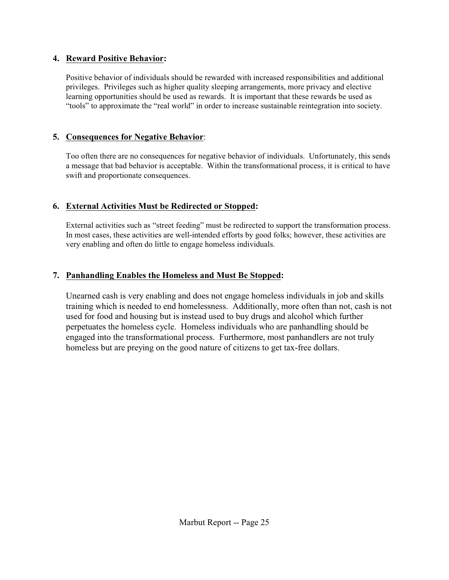#### **4. Reward Positive Behavior:**

Positive behavior of individuals should be rewarded with increased responsibilities and additional privileges. Privileges such as higher quality sleeping arrangements, more privacy and elective learning opportunities should be used as rewards. It is important that these rewards be used as "tools" to approximate the "real world" in order to increase sustainable reintegration into society.

### **5. Consequences for Negative Behavior**:

Too often there are no consequences for negative behavior of individuals. Unfortunately, this sends a message that bad behavior is acceptable. Within the transformational process, it is critical to have swift and proportionate consequences.

## **6. External Activities Must be Redirected or Stopped:**

External activities such as "street feeding" must be redirected to support the transformation process. In most cases, these activities are well-intended efforts by good folks; however, these activities are very enabling and often do little to engage homeless individuals.

## **7. Panhandling Enables the Homeless and Must Be Stopped:**

Unearned cash is very enabling and does not engage homeless individuals in job and skills training which is needed to end homelessness. Additionally, more often than not, cash is not used for food and housing but is instead used to buy drugs and alcohol which further perpetuates the homeless cycle. Homeless individuals who are panhandling should be engaged into the transformational process. Furthermore, most panhandlers are not truly homeless but are preying on the good nature of citizens to get tax-free dollars.